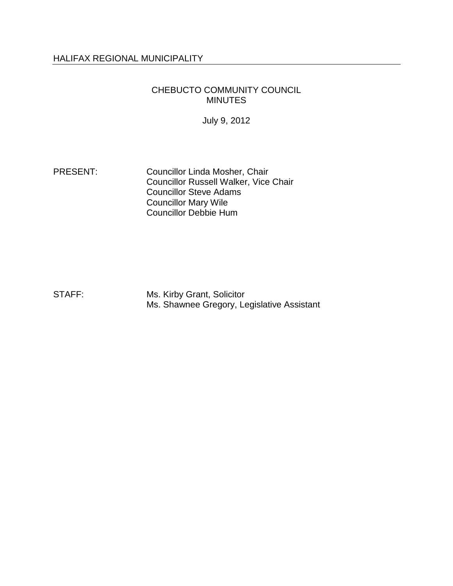# HALIFAX REGIONAL MUNICIPALITY

### CHEBUCTO COMMUNITY COUNCIL MINUTES

July 9, 2012

PRESENT: Councillor Linda Mosher, Chair Councillor Russell Walker, Vice Chair Councillor Steve Adams Councillor Mary Wile Councillor Debbie Hum

STAFF: Ms. Kirby Grant, Solicitor Ms. Shawnee Gregory, Legislative Assistant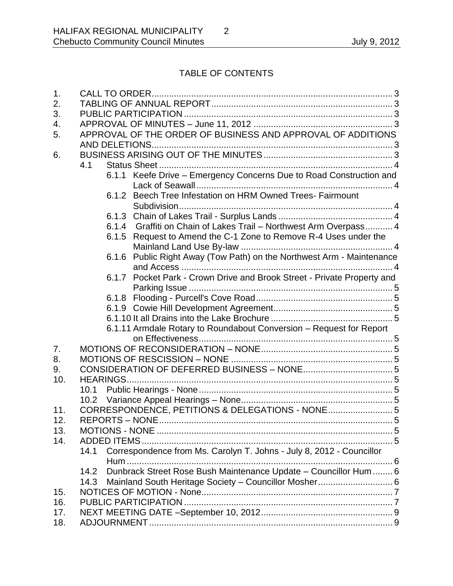# TABLE OF CONTENTS

| 1.  |                                                                              |
|-----|------------------------------------------------------------------------------|
| 2.  |                                                                              |
| 3.  |                                                                              |
| 4.  |                                                                              |
| 5.  | APPROVAL OF THE ORDER OF BUSINESS AND APPROVAL OF ADDITIONS                  |
|     |                                                                              |
| 6.  |                                                                              |
|     | 4.1                                                                          |
|     | 6.1.1 Keefe Drive - Emergency Concerns Due to Road Construction and          |
|     |                                                                              |
|     | 6.1.2 Beech Tree Infestation on HRM Owned Trees- Fairmount                   |
|     |                                                                              |
|     |                                                                              |
|     | 6.1.4 Graffiti on Chain of Lakes Trail - Northwest Arm Overpass 4            |
|     | 6.1.5 Request to Amend the C-1 Zone to Remove R-4 Uses under the             |
|     |                                                                              |
|     | Public Right Away (Tow Path) on the Northwest Arm - Maintenance<br>6.1.6     |
|     |                                                                              |
|     | 6.1.7 Pocket Park - Crown Drive and Brook Street - Private Property and      |
|     |                                                                              |
|     |                                                                              |
|     |                                                                              |
|     |                                                                              |
|     | 6.1.11 Armdale Rotary to Roundabout Conversion - Request for Report          |
|     |                                                                              |
| 7.  |                                                                              |
| 8.  |                                                                              |
| 9.  |                                                                              |
| 10. |                                                                              |
|     |                                                                              |
|     |                                                                              |
| 11. | CORRESPONDENCE, PETITIONS & DELEGATIONS - NONE 5                             |
| 12. |                                                                              |
| 13. |                                                                              |
| 14. |                                                                              |
|     | Correspondence from Ms. Carolyn T. Johns - July 8, 2012 - Councillor<br>14.1 |
|     |                                                                              |
|     | Dunbrack Street Rose Bush Maintenance Update - Councillor Hum  6<br>14.2     |
|     | 14.3                                                                         |
| 15. |                                                                              |
| 16. |                                                                              |
| 17. |                                                                              |
| 18. |                                                                              |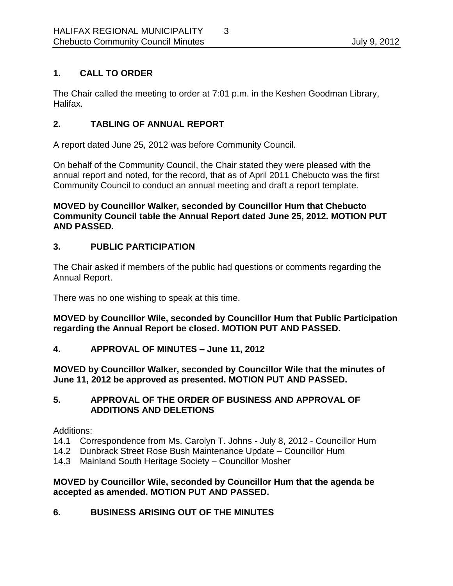# <span id="page-2-0"></span>**1. CALL TO ORDER**

The Chair called the meeting to order at 7:01 p.m. in the Keshen Goodman Library, Halifax.

# <span id="page-2-1"></span>**2. TABLING OF ANNUAL REPORT**

A report dated June 25, 2012 was before Community Council.

On behalf of the Community Council, the Chair stated they were pleased with the annual report and noted, for the record, that as of April 2011 Chebucto was the first Community Council to conduct an annual meeting and draft a report template.

**MOVED by Councillor Walker, seconded by Councillor Hum that Chebucto Community Council table the Annual Report dated June 25, 2012. MOTION PUT AND PASSED.** 

# <span id="page-2-2"></span>**3. PUBLIC PARTICIPATION**

The Chair asked if members of the public had questions or comments regarding the Annual Report.

There was no one wishing to speak at this time.

**MOVED by Councillor Wile, seconded by Councillor Hum that Public Participation regarding the Annual Report be closed. MOTION PUT AND PASSED.**

### <span id="page-2-3"></span>**4. APPROVAL OF MINUTES – June 11, 2012**

**MOVED by Councillor Walker, seconded by Councillor Wile that the minutes of June 11, 2012 be approved as presented. MOTION PUT AND PASSED.** 

# <span id="page-2-4"></span>**5. APPROVAL OF THE ORDER OF BUSINESS AND APPROVAL OF ADDITIONS AND DELETIONS**

Additions:

- 14.1 Correspondence from Ms. Carolyn T. Johns July 8, 2012 Councillor Hum
- 14.2 Dunbrack Street Rose Bush Maintenance Update Councillor Hum
- 14.3 Mainland South Heritage Society Councillor Mosher

### **MOVED by Councillor Wile, seconded by Councillor Hum that the agenda be accepted as amended. MOTION PUT AND PASSED.**

# <span id="page-2-5"></span>**6. BUSINESS ARISING OUT OF THE MINUTES**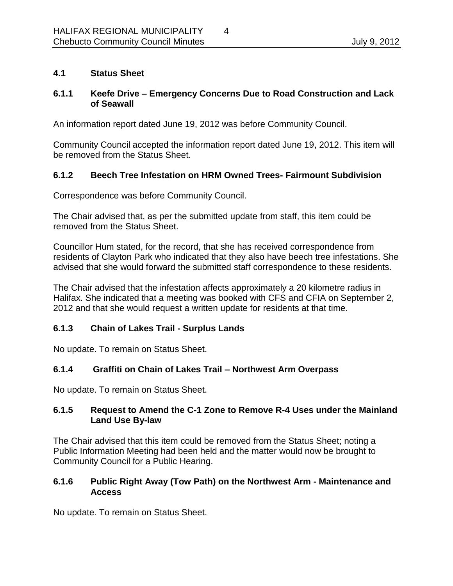# <span id="page-3-0"></span>**4.1 Status Sheet**

# <span id="page-3-1"></span>**6.1.1 Keefe Drive – Emergency Concerns Due to Road Construction and Lack of Seawall**

An information report dated June 19, 2012 was before Community Council.

Community Council accepted the information report dated June 19, 2012. This item will be removed from the Status Sheet.

# <span id="page-3-2"></span>**6.1.2 Beech Tree Infestation on HRM Owned Trees- Fairmount Subdivision**

Correspondence was before Community Council.

The Chair advised that, as per the submitted update from staff, this item could be removed from the Status Sheet.

Councillor Hum stated, for the record, that she has received correspondence from residents of Clayton Park who indicated that they also have beech tree infestations. She advised that she would forward the submitted staff correspondence to these residents.

The Chair advised that the infestation affects approximately a 20 kilometre radius in Halifax. She indicated that a meeting was booked with CFS and CFIA on September 2, 2012 and that she would request a written update for residents at that time.

# <span id="page-3-3"></span>**6.1.3 Chain of Lakes Trail - Surplus Lands**

No update. To remain on Status Sheet.

# <span id="page-3-4"></span>**6.1.4 Graffiti on Chain of Lakes Trail – Northwest Arm Overpass**

No update. To remain on Status Sheet.

# <span id="page-3-5"></span>**6.1.5 Request to Amend the C-1 Zone to Remove R-4 Uses under the Mainland Land Use By-law**

The Chair advised that this item could be removed from the Status Sheet; noting a Public Information Meeting had been held and the matter would now be brought to Community Council for a Public Hearing.

### <span id="page-3-6"></span>**6.1.6 Public Right Away (Tow Path) on the Northwest Arm - Maintenance and Access**

No update. To remain on Status Sheet.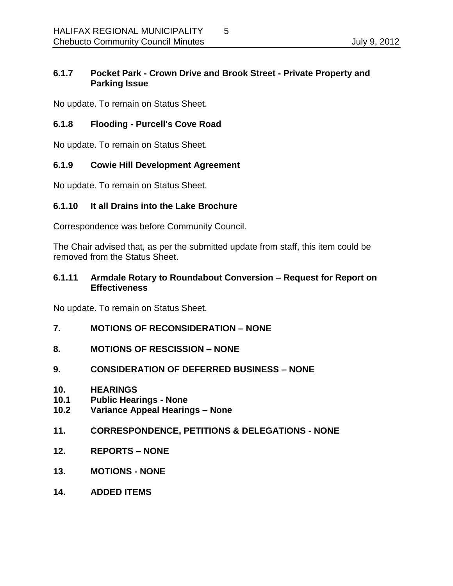# <span id="page-4-0"></span>**6.1.7 Pocket Park - Crown Drive and Brook Street - Private Property and Parking Issue**

No update. To remain on Status Sheet.

### <span id="page-4-1"></span>**6.1.8 Flooding - Purcell's Cove Road**

No update. To remain on Status Sheet.

# <span id="page-4-2"></span>**6.1.9 Cowie Hill Development Agreement**

No update. To remain on Status Sheet.

### <span id="page-4-3"></span>**6.1.10 It all Drains into the Lake Brochure**

Correspondence was before Community Council.

The Chair advised that, as per the submitted update from staff, this item could be removed from the Status Sheet.

#### <span id="page-4-4"></span>**6.1.11 Armdale Rotary to Roundabout Conversion – Request for Report on Effectiveness**

No update. To remain on Status Sheet.

- <span id="page-4-5"></span>**7. MOTIONS OF RECONSIDERATION – NONE**
- <span id="page-4-6"></span>**8. MOTIONS OF RESCISSION – NONE**
- <span id="page-4-7"></span>**9. CONSIDERATION OF DEFERRED BUSINESS – NONE**
- <span id="page-4-8"></span>**10. HEARINGS**
- <span id="page-4-9"></span>**10.1 Public Hearings - None**
- <span id="page-4-10"></span>**10.2 Variance Appeal Hearings – None**
- <span id="page-4-11"></span>**11. CORRESPONDENCE, PETITIONS & DELEGATIONS - NONE**
- <span id="page-4-12"></span>**12. REPORTS – NONE**
- <span id="page-4-13"></span>**13. MOTIONS - NONE**
- <span id="page-4-14"></span>**14. ADDED ITEMS**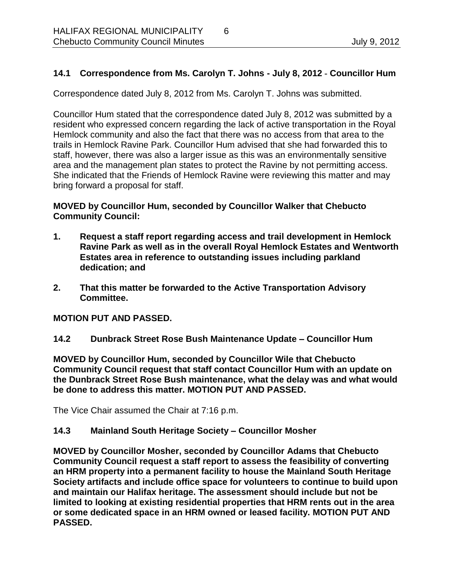### <span id="page-5-0"></span>**14.1 Correspondence from Ms. Carolyn T. Johns - July 8, 2012 - Councillor Hum**

Correspondence dated July 8, 2012 from Ms. Carolyn T. Johns was submitted.

Councillor Hum stated that the correspondence dated July 8, 2012 was submitted by a resident who expressed concern regarding the lack of active transportation in the Royal Hemlock community and also the fact that there was no access from that area to the trails in Hemlock Ravine Park. Councillor Hum advised that she had forwarded this to staff, however, there was also a larger issue as this was an environmentally sensitive area and the management plan states to protect the Ravine by not permitting access. She indicated that the Friends of Hemlock Ravine were reviewing this matter and may bring forward a proposal for staff.

### **MOVED by Councillor Hum, seconded by Councillor Walker that Chebucto Community Council:**

- **1. Request a staff report regarding access and trail development in Hemlock Ravine Park as well as in the overall Royal Hemlock Estates and Wentworth Estates area in reference to outstanding issues including parkland dedication; and**
- **2. That this matter be forwarded to the Active Transportation Advisory Committee.**

### **MOTION PUT AND PASSED.**

<span id="page-5-1"></span>**14.2 Dunbrack Street Rose Bush Maintenance Update – Councillor Hum**

**MOVED by Councillor Hum, seconded by Councillor Wile that Chebucto Community Council request that staff contact Councillor Hum with an update on the Dunbrack Street Rose Bush maintenance, what the delay was and what would be done to address this matter. MOTION PUT AND PASSED.** 

The Vice Chair assumed the Chair at 7:16 p.m.

### <span id="page-5-2"></span>**14.3 Mainland South Heritage Society – Councillor Mosher**

**MOVED by Councillor Mosher, seconded by Councillor Adams that Chebucto Community Council request a staff report to assess the feasibility of converting an HRM property into a permanent facility to house the Mainland South Heritage Society artifacts and include office space for volunteers to continue to build upon and maintain our Halifax heritage. The assessment should include but not be limited to looking at existing residential properties that HRM rents out in the area or some dedicated space in an HRM owned or leased facility. MOTION PUT AND PASSED.**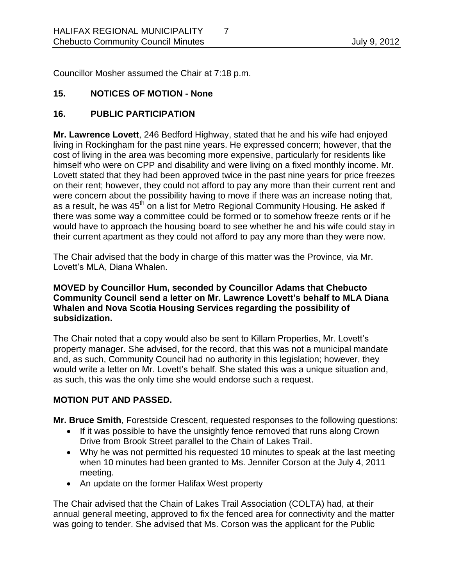Councillor Mosher assumed the Chair at 7:18 p.m.

# <span id="page-6-0"></span>**15. NOTICES OF MOTION - None**

# <span id="page-6-1"></span>**16. PUBLIC PARTICIPATION**

**Mr. Lawrence Lovett**, 246 Bedford Highway, stated that he and his wife had enjoyed living in Rockingham for the past nine years. He expressed concern; however, that the cost of living in the area was becoming more expensive, particularly for residents like himself who were on CPP and disability and were living on a fixed monthly income. Mr. Lovett stated that they had been approved twice in the past nine years for price freezes on their rent; however, they could not afford to pay any more than their current rent and were concern about the possibility having to move if there was an increase noting that, as a result, he was  $45<sup>th</sup>$  on a list for Metro Regional Community Housing. He asked if there was some way a committee could be formed or to somehow freeze rents or if he would have to approach the housing board to see whether he and his wife could stay in their current apartment as they could not afford to pay any more than they were now.

The Chair advised that the body in charge of this matter was the Province, via Mr. Lovett's MLA, Diana Whalen.

### **MOVED by Councillor Hum, seconded by Councillor Adams that Chebucto Community Council send a letter on Mr. Lawrence Lovett's behalf to MLA Diana Whalen and Nova Scotia Housing Services regarding the possibility of subsidization.**

The Chair noted that a copy would also be sent to Killam Properties, Mr. Lovett's property manager. She advised, for the record, that this was not a municipal mandate and, as such, Community Council had no authority in this legislation; however, they would write a letter on Mr. Lovett's behalf. She stated this was a unique situation and, as such, this was the only time she would endorse such a request.

# **MOTION PUT AND PASSED.**

**Mr. Bruce Smith**, Forestside Crescent, requested responses to the following questions:

- If it was possible to have the unsightly fence removed that runs along Crown Drive from Brook Street parallel to the Chain of Lakes Trail.
- Why he was not permitted his requested 10 minutes to speak at the last meeting when 10 minutes had been granted to Ms. Jennifer Corson at the July 4, 2011 meeting.
- An update on the former Halifax West property

The Chair advised that the Chain of Lakes Trail Association (COLTA) had, at their annual general meeting, approved to fix the fenced area for connectivity and the matter was going to tender. She advised that Ms. Corson was the applicant for the Public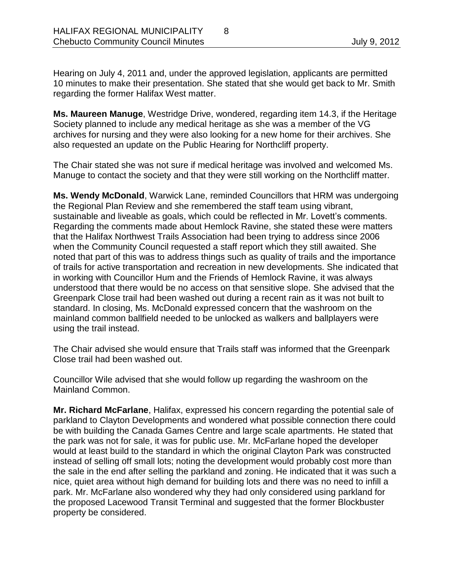Hearing on July 4, 2011 and, under the approved legislation, applicants are permitted 10 minutes to make their presentation. She stated that she would get back to Mr. Smith regarding the former Halifax West matter.

**Ms. Maureen Manuge**, Westridge Drive, wondered, regarding item 14.3, if the Heritage Society planned to include any medical heritage as she was a member of the VG archives for nursing and they were also looking for a new home for their archives. She also requested an update on the Public Hearing for Northcliff property.

The Chair stated she was not sure if medical heritage was involved and welcomed Ms. Manuge to contact the society and that they were still working on the Northcliff matter.

**Ms. Wendy McDonald**, Warwick Lane, reminded Councillors that HRM was undergoing the Regional Plan Review and she remembered the staff team using vibrant, sustainable and liveable as goals, which could be reflected in Mr. Lovett's comments. Regarding the comments made about Hemlock Ravine, she stated these were matters that the Halifax Northwest Trails Association had been trying to address since 2006 when the Community Council requested a staff report which they still awaited. She noted that part of this was to address things such as quality of trails and the importance of trails for active transportation and recreation in new developments. She indicated that in working with Councillor Hum and the Friends of Hemlock Ravine, it was always understood that there would be no access on that sensitive slope. She advised that the Greenpark Close trail had been washed out during a recent rain as it was not built to standard. In closing, Ms. McDonald expressed concern that the washroom on the mainland common ballfield needed to be unlocked as walkers and ballplayers were using the trail instead.

The Chair advised she would ensure that Trails staff was informed that the Greenpark Close trail had been washed out.

Councillor Wile advised that she would follow up regarding the washroom on the Mainland Common.

**Mr. Richard McFarlane**, Halifax, expressed his concern regarding the potential sale of parkland to Clayton Developments and wondered what possible connection there could be with building the Canada Games Centre and large scale apartments. He stated that the park was not for sale, it was for public use. Mr. McFarlane hoped the developer would at least build to the standard in which the original Clayton Park was constructed instead of selling off small lots; noting the development would probably cost more than the sale in the end after selling the parkland and zoning. He indicated that it was such a nice, quiet area without high demand for building lots and there was no need to infill a park. Mr. McFarlane also wondered why they had only considered using parkland for the proposed Lacewood Transit Terminal and suggested that the former Blockbuster property be considered.